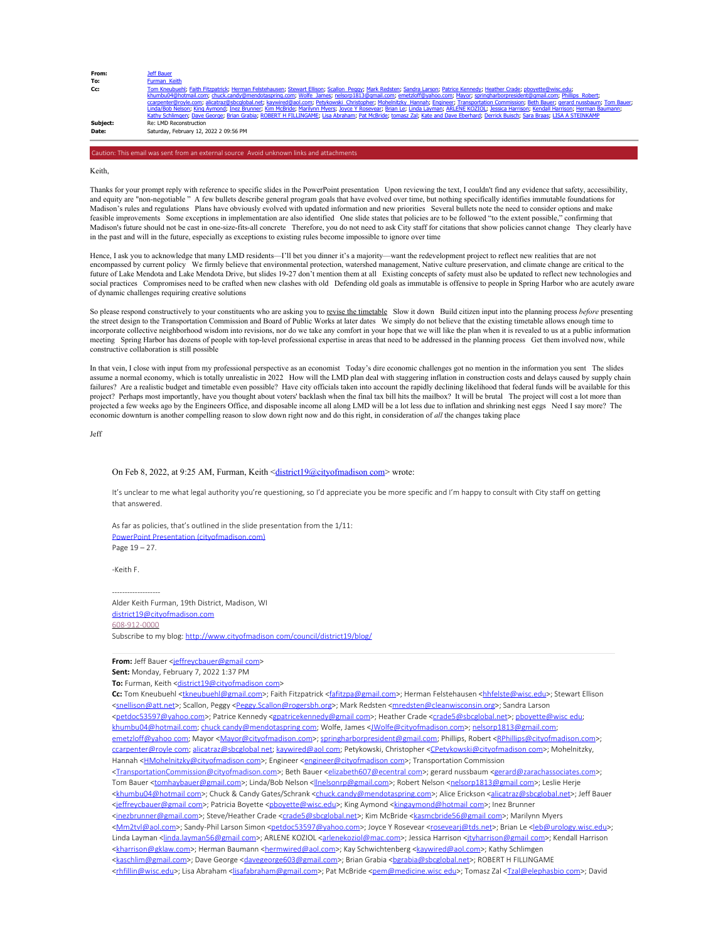| From:    | Jeff Bauer                                                                                                                                                                                |
|----------|-------------------------------------------------------------------------------------------------------------------------------------------------------------------------------------------|
| To:      | Furman Keith                                                                                                                                                                              |
| Cc:      | Tom Kneubuehl; Faith Fitzpatrick; Herman Felstehausen; Stewart Ellison; Scallon Peqqy; Mark Redsten; Sandra Larson; Patrice Kennedy; Heather Crade; pboyette@wisc.edu;                    |
|          | khumbu04@hotmail.com; chuck.candy@mendotaspring.com; Wolfe James; nelsorp1813@qmail.com; emetzloff@yahoo.com; Mayor; springharborpresident@qmail.com; Phillips Robert;                    |
|          | ccarpenter@royle.com; alicatraz@sbcqlobal.net; kaywired@aol.com; Petykowski Christopher; Mohelnitzky Hannah; Engineer; Transportation Commission; Beth Bauer; gerard nussbaum; Tom Bauer; |
|          | Linda/Bob Nelson; King Aymond; Inez Brunner; Kim McBride; Marilynn Myers; Joyce Y Roseyear; Brian Le; Linda Layman; ARLENE KOZIOL; Jessica Harrison; Kendall Harrison; Herman Baumann;    |
|          | Kathy Schlimgen; Dave George; Brian Grabia; ROBERT H FILLINGAME; Lisa Abraham; Pat McBride; tomasz Zal; Kate and Dave Eberhard; Derrick Buisch; Sara Braas; LISA A STEINKAMP              |
| Subject: | Re: LMD Reconstruction                                                                                                                                                                    |
| Date:    | Saturday, February 12, 2022 2 09:56 PM                                                                                                                                                    |
|          |                                                                                                                                                                                           |

Keith,

Thanks for your prompt reply with reference to specific slides in the PowerPoint presentation Upon reviewing the text, I couldn't find any evidence that safety, accessibility, and equity are "non-negotiable" A few bullets describe general program goals that have evolved over time, but nothing specifically identifies immutable foundations for Madison's rules and regulations Plans have obviously evolved with updated information and new priorities Several bullets note the need to consider options and make feasible improvements Some exceptions in implementation are also identified One slide states that policies are to be followed "to the extent possible," confirming that Madison's future should not be cast in one-size-fits-all concrete Therefore, you do not need to ask City staff for citations that show policies cannot change They clearly have in the past and will in the future, especially as exceptions to existing rules become impossible to ignore over time

Hence, I ask you to acknowledge that many LMD residents—I'll bet you dinner it's a majority—want the redevelopment project to reflect new realities that are not encompassed by current policy We firmly believe that environmental protection, watershed management, Native culture preservation, and climate change are critical to the future of Lake Mendota and Lake Mendota Drive, but slides 19-27 don't mention them at all Existing concepts of safety must also be updated to reflect new technologies and social practices Compromises need to be crafted when new clashes with old Defending old goals as immutable is offensive to people in Spring Harbor who are acutely aware of dynamic challenges requiring creative solutions

So please respond constructively to your constituents who are asking you to <u>revise the timetable</u> Slow it down Build citizen input into the planning process *before* presenting<br>the street design to the Transportation Comm incorporate collective neighborhood wisdom into revisions, nor do we take any comfort in your hope that we will like the plan when it is revealed to us at a public information meeting Spring Harbor has dozens of people with top-level professional expertise in areas that need to be addressed in the planning process Get them involved now, while constructive collaboration is still possible

In that vein, I close with input from my professional perspective as an economist Today's dire economic challenges got no mention in the information you sent The slides assume a normal economy, which is totally unrealistic in 2022 How will the LMD plan deal with staggering inflation in construction costs and delays caused by supply chain failures? Are a realistic budget and timetable even possible? Have city officials taken into account the rapidly declining likelihood that federal funds will be available for this project? Perhaps most importantly, have you thought about voters' backlash when the final tax bill hits the mailbox? It will be brutal The project will cost a lot more than projected a few weeks ago by the Engineers Office, and disposable income all along LMD will be a lot less due to inflation and shrinking nest eggs Need I say more? The economic downturn is another compelling reason to slow down right now and do this right, in consideration of *all* the changes taking place

Jeff

## On Feb 8, 2022, at 9:25 AM, Furman, Keith <district19@cityofmadison com> wrote:

It's unclear to me what legal authority you're questioning, so I'd appreciate you be more specific and I'm happy to consult with City staff on getting that answered.

As far as policies, that's outlined in the slide presentation from the 1/11: PowerPoint Presentation (cityofmadison.com) Page 19 – 27.

-Keith F.

------------------- Alder Keith Furman, 19th District, Madison, WI district19@cityofmadison.com 608-912-0000 Subscribe to my blog: http://www.cityofmadison com/council/district19/blog/

**From:** Jeff Bauer <jeffreycbauer@gmail com>

**Sent:** Monday, February 7, 2022 1:37 PM

To: Furman, Keith <district19@cityofmadison com>

Cc: Tom Kneubuehl <tkneubuehl@gmail.com>; Faith Fitzpatrick <fafitzpa@gmail.com>; Herman Felstehausen <hhfelste@wisc.edu>; Stewart Ellison <snellison@att.net>; Scallon, Peggy <Peggy.Scallon@rogersbh.org>; Mark Redsten <mredsten@cleanwisconsin.org>; Sandra Larson <petdoc53597@yahoo.com>; Patrice Kennedy <gpatricekennedy@gmail com>; Heather Crade <crade5@sbcglobal.net>; pboyette@wisc edu; khumbu04@hotmail.com; chuck candy@mendotaspring com; Wolfe, James <*LWolfe@cityofmadison.com>; nelsorp1813@gmail.com;* emetzloff@yahoo com; Mayor <Mayor@cityofmadison.com>; springharborpresident@gmail.com; Phillips, Robert <RPhillips@cityofmadison.com>; ccarpenter@royle com; alicatraz@sbcglobal net; kaywired@aol com; Petykowski, Christopher <CPetykowski@cityofmadison com>; Mohelnitzky, Hannah <HMohelnitzky@cityofmadison com>; Engineer <engineer@cityofmadison com>; Transportation Commission <TransportationCommission@cityofmadison.com>; Beth Bauer <elizabeth607@ecentral com>; gerard nussbaum <gerard@zarachassociates.com>; Tom Bauer <tomhaybauer@gmail.com>; Linda/Bob Nelson <||nelsonrp@gmail.com>; Robert Nelson <nelsorp1813@gmail com>; Leslie Herje <khumbu04@hotmail com>; Chuck & Candy Gates/Schrank <chuck.candy@mendotaspring.com>; Alice Erickson <alicatraz@sbcglobal.net>; Jeff Bauer <jeffreycbauer@gmail com>; Patricia Boyette <pboyette@wisc.edu>; King Aymond <kingaymond@hotmail.com>; Inez Brunner <inezbrunner@gmail.com>; Steve/Heather Crade <crade5@sbcglobal.net>; Kim McBride <kasmcbride56@gmail com>; Marilynn Myers <Mm2tvl@aol.com>; Sandy-Phil Larson Simon <petdoc53597@yahoo.com>; Joyce Y Rosevear <rosevearj@tds.net>; Brian Le <leb@urology.wisc.edu>; Linda Layman <*linda.layman56@gmail com>*; ARLENE KOZIOL <arlenekoziol@mac.com>; Jessica Harrison <jtyharrison@gmail com>; Kendall Harrison <kharrison@gklaw.com>; Herman Baumann <hermwired@aol.com>; Kay Schwichtenberg <kaywired@aol.com>; Kathy Schlimgen <kaschlim@gmail.com>; Dave George <davegeorge603@gmail.com>; Brian Grabia <bgrabia@sbcglobal.net>; ROBERT H FILLINGAME <thfillin@wisc.edu>; Lisa Abraham <lisafabraham@gmail.com>; Pat McBride <pem@medicine.wisc edu>; Tomasz Zal <Tzal@elephasbio com>; David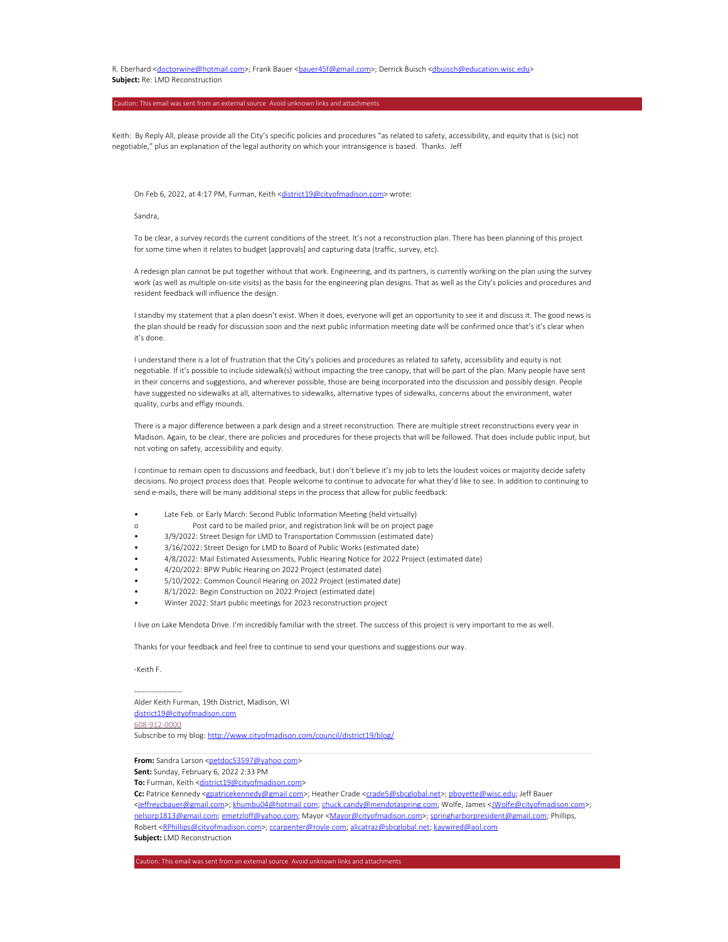R. Eberhard <doctorwine@hotmail.com>; Frank Bauer <br/>bauer45f@gmail.com>; Derrick Buisch <dbuisch@education.wisc.edu> **Subject:** Re: LMD Reconstruction

Keith: By Reply All, please provide all the City's specific policies and procedures "as related to safety, accessibility, and equity that is (sic) not negotiable," plus an explanation of the legal authority on which your intransigence is based. Thanks. Jeff

On Feb 6, 2022, at 4:17 PM, Furman, Keith <district19@cityofmadison.com> wrote:

Sandra,

To be clear, a survey records the current conditions of the street. It's not a reconstruction plan. There has been planning of this project for some time when it relates to budget [approvals] and capturing data (traffic, survey, etc).

A redesign plan cannot be put together without that work. Engineering, and its partners, is currently working on the plan using the survey work (as well as multiple on-site visits) as the basis for the engineering plan designs. That as well as the City's policies and procedures and resident feedback will influence the design.

I standby my statement that a plan doesn't exist. When it does, everyone will get an opportunity to see it and discuss it. The good news is the plan should be ready for discussion soon and the next public information meeting date will be confirmed once that's it's clear when it's done.

I understand there is a lot of frustration that the City's policies and procedures as related to safety, accessibility and equity is not negotiable. If it's possible to include sidewalk(s) without impacting the tree canopy, that will be part of the plan. Many people have sent in their concerns and suggestions, and wherever possible, those are being incorporated into the discussion and possibly design. People have suggested no sidewalks at all, alternatives to sidewalks, alternative types of sidewalks, concerns about the environment, water quality, curbs and effigy mounds.

There is a major difference between a park design and a street reconstruction. There are multiple street reconstructions every year in Madison. Again, to be clear, there are policies and procedures for these projects that will be followed. That does include public input, but not voting on safety, accessibility and equity.

I continue to remain open to discussions and feedback, but I don't believe it's my job to lets the loudest voices or majority decide safety decisions. No project process does that. People welcome to continue to advocate for what they'd like to see. In addition to continuing to send e-mails, there will be many additional steps in the process that allow for public feedback:

- Late Feb. or Early March: Second Public Information Meeting (held virtually)
- o Post card to be mailed prior, and registration link will be on project page
- 3/9/2022: Street Design for LMD to Transportation Commission (estimated date)
- 3/16/2022: Street Design for LMD to Board of Public Works (estimated date)
- 4/8/2022: Mail Estimated Assessments, Public Hearing Notice for 2022 Project (estimated date)
- 4/20/2022: BPW Public Hearing on 2022 Project (estimated date)
- 5/10/2022: Common Council Hearing on 2022 Project (estimated date)
- 8/1/2022: Begin Construction on 2022 Project (estimated date)
- Winter 2022: Start public meetings for 2023 reconstruction project

I live on Lake Mendota Drive. I'm incredibly familiar with the street. The success of this project is very important to me as well.

Thanks for your feedback and feel free to continue to send your questions and suggestions our way.

-Keith F.

-------------------

Alder Keith Furman, 19th District, Madison, WI district19@cityofmadison.com 608-912-0000 Subscribe to my blog: http://www.cityofmadison.com/council/district19/blog/

**From:** Sandra Larson <petdoc53597@yahoo com>

**Sent:** Sunday, February 6, 2022 2:33 PM

To: Furman, Keith <district19@cityofmadison.com>

Cc: Patrice Kennedy <gpatricekennedy@gmail com>; Heather Crade <crade5@sbcglobal.net>; pboyette@wisc.edu; Jeff Bauer <jeffreycbauer@gmail.com>; khumbu04@hotmail com; chuck.candy@mendotaspring.com; Wolfe, James <JWolfe@cityofmadison.com>; nelsorp1813@gmail.com; emetzloff@yahoo.com; Mayor <Mayor@cityofmadison.com>; springharborpresident@gmail.com; Phillips, Robert <RPhillips@cityofmadison.com>; ccarpenter@royle com; alicatraz@sbcglobal.net; kaywired@aol.com **Subject:** LMD Reconstruction